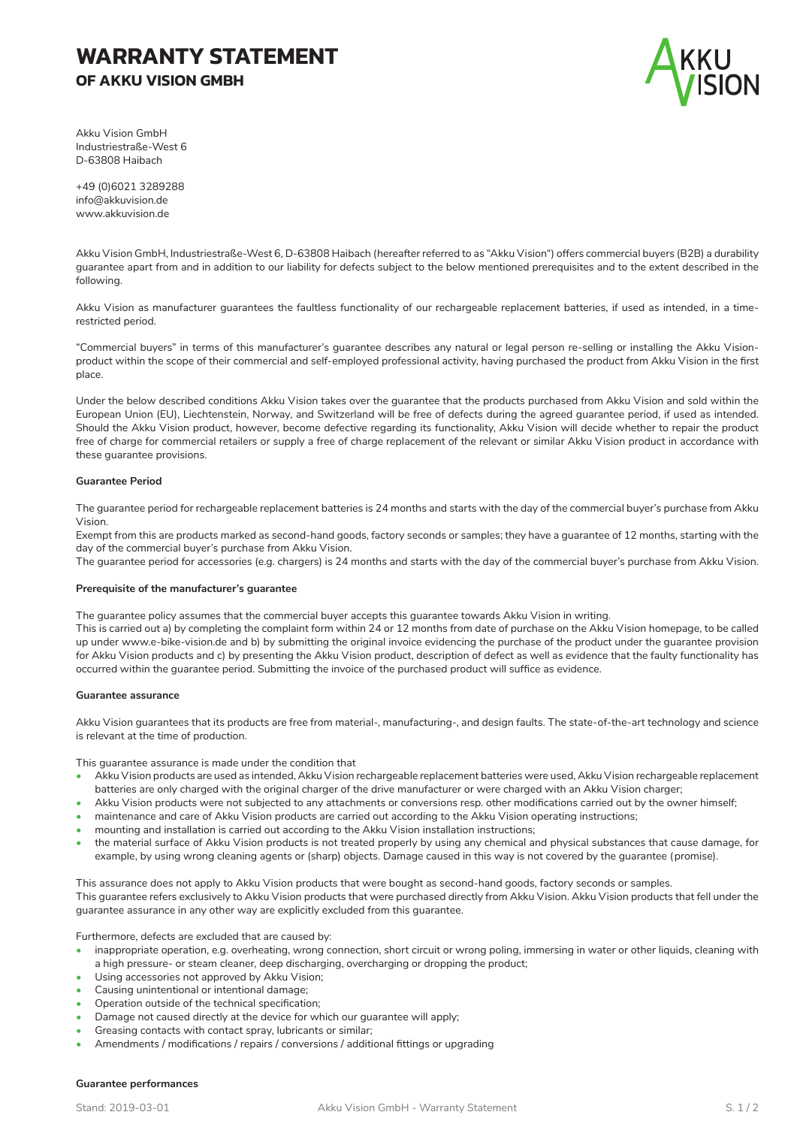# **WARRANTY STATEMENT OF AKKU VISION GMBH**



Akku Vision GmbH Industriestraße-West 6 D-63808 Haibach

+49 (0)6021 3289288 info@akkuvision.de www.akkuvision.de

Akku Vision GmbH, Industriestraße-West 6, D-63808 Haibach (hereafter referred to as "Akku Vision") offers commercial buyers (B2B) a durability guarantee apart from and in addition to our liability for defects subject to the below mentioned prerequisites and to the extent described in the following.

Akku Vision as manufacturer guarantees the faultless functionality of our rechargeable replacement batteries, if used as intended, in a timerestricted period.

"Commercial buyers" in terms of this manufacturer's guarantee describes any natural or legal person re-selling or installing the Akku Visionproduct within the scope of their commercial and self-employed professional activity, having purchased the product from Akku Vision in the first place.

Under the below described conditions Akku Vision takes over the guarantee that the products purchased from Akku Vision and sold within the European Union (EU), Liechtenstein, Norway, and Switzerland will be free of defects during the agreed guarantee period, if used as intended. Should the Akku Vision product, however, become defective regarding its functionality, Akku Vision will decide whether to repair the product free of charge for commercial retailers or supply a free of charge replacement of the relevant or similar Akku Vision product in accordance with these guarantee provisions.

## **Guarantee Period**

The guarantee period for rechargeable replacement batteries is 24 months and starts with the day of the commercial buyer's purchase from Akku Vision.

Exempt from this are products marked as second-hand goods, factory seconds or samples; they have a guarantee of 12 months, starting with the day of the commercial buyer's purchase from Akku Vision.

The guarantee period for accessories (e.g. chargers) is 24 months and starts with the day of the commercial buyer's purchase from Akku Vision.

#### **Prerequisite of the manufacturer's guarantee**

The guarantee policy assumes that the commercial buyer accepts this guarantee towards Akku Vision in writing.

This is carried out a) by completing the complaint form within 24 or 12 months from date of purchase on the Akku Vision homepage, to be called up under www.e-bike-vision.de and b) by submitting the original invoice evidencing the purchase of the product under the guarantee provision for Akku Vision products and c) by presenting the Akku Vision product, description of defect as well as evidence that the faulty functionality has occurred within the guarantee period. Submitting the invoice of the purchased product will suffice as evidence.

## **Guarantee assurance**

Akku Vision guarantees that its products are free from material-, manufacturing-, and design faults. The state-of-the-art technology and science is relevant at the time of production.

This guarantee assurance is made under the condition that

- Akku Vision products are used as intended, Akku Vision rechargeable replacement batteries were used, Akku Vision rechargeable replacement batteries are only charged with the original charger of the drive manufacturer or were charged with an Akku Vision charger;
- Akku Vision products were not subjected to any attachments or conversions resp. other modifications carried out by the owner himself;
- maintenance and care of Akku Vision products are carried out according to the Akku Vision operating instructions;
- mounting and installation is carried out according to the Akku Vision installation instructions;
- the material surface of Akku Vision products is not treated properly by using any chemical and physical substances that cause damage, for example, by using wrong cleaning agents or (sharp) objects. Damage caused in this way is not covered by the guarantee (promise).

This assurance does not apply to Akku Vision products that were bought as second-hand goods, factory seconds or samples. This guarantee refers exclusively to Akku Vision products that were purchased directly from Akku Vision. Akku Vision products that fell under the guarantee assurance in any other way are explicitly excluded from this guarantee.

Furthermore, defects are excluded that are caused by:

- inappropriate operation, e.g. overheating, wrong connection, short circuit or wrong poling, immersing in water or other liquids, cleaning with a high pressure- or steam cleaner, deep discharging, overcharging or dropping the product;
- Using accessories not approved by Akku Vision;
- Causing unintentional or intentional damage;
- Operation outside of the technical specification;
- Damage not caused directly at the device for which our guarantee will apply;
- Greasing contacts with contact spray, lubricants or similar;
- Amendments / modifications / repairs / conversions / additional fittings or upgrading